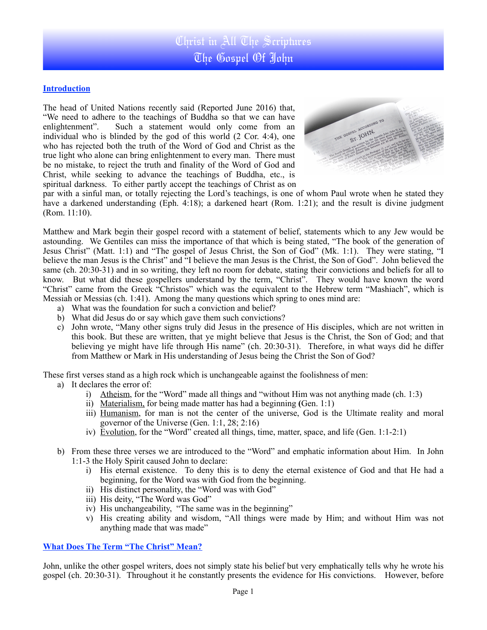### **Introduction**

The head of United Nations recently said (Reported June 2016) that, "We need to adhere to the teachings of Buddha so that we can have enlightenment". Such a statement would only come from an Such a statement would only come from an individual who is blinded by the god of this world (2 Cor. 4:4), one who has rejected both the truth of the Word of God and Christ as the true light who alone can bring enlightenment to every man. There must be no mistake, to reject the truth and finality of the Word of God and Christ, while seeking to advance the teachings of Buddha, etc., is spiritual darkness. To either partly accept the teachings of Christ as on



par with a sinful man, or totally rejecting the Lord's teachings, is one of whom Paul wrote when he stated they have a darkened understanding (Eph. 4:18); a darkened heart (Rom. 1:21); and the result is divine judgment (Rom. 11:10).

Matthew and Mark begin their gospel record with a statement of belief, statements which to any Jew would be astounding. We Gentiles can miss the importance of that which is being stated, "The book of the generation of Jesus Christ" (Matt. 1:1) and "The gospel of Jesus Christ, the Son of God" (Mk. 1:1). They were stating, "I believe the man Jesus is the Christ" and "I believe the man Jesus is the Christ, the Son of God". John believed the same (ch. 20:30-31) and in so writing, they left no room for debate, stating their convictions and beliefs for all to know. But what did these gospellers understand by the term, "Christ". They would have known the word "Christ" came from the Greek "Christos" which was the equivalent to the Hebrew term "Mashiach", which is Messiah or Messias (ch. 1:41). Among the many questions which spring to ones mind are:

- a) What was the foundation for such a conviction and belief?
- b) What did Jesus do or say which gave them such convictions?
- c) John wrote, "Many other signs truly did Jesus in the presence of His disciples, which are not written in this book. But these are written, that ye might believe that Jesus is the Christ, the Son of God; and that believing ye might have life through His name" (ch. 20:30-31). Therefore, in what ways did he differ from Matthew or Mark in His understanding of Jesus being the Christ the Son of God?

These first verses stand as a high rock which is unchangeable against the foolishness of men:

- a) It declares the error of:
	- i) Atheism, for the "Word" made all things and "without Him was not anything made (ch. 1:3)
	- ii) Materialism, for being made matter has had a beginning **(**Gen. 1:1)
	- iii) Humanism, for man is not the center of the universe, God is the Ultimate reality and moral governor of the Universe (Gen. 1:1, 28; 2:16)
	- iv) Evolution, for the "Word" created all things, time, matter, space, and life (Gen. 1:1-2:1)
- b) From these three verses we are introduced to the "Word" and emphatic information about Him. In John 1:1-3 the Holy Spirit caused John to declare:
	- i) His eternal existence. To deny this is to deny the eternal existence of God and that He had a beginning, for the Word was with God from the beginning.
	- ii) His distinct personality, the "Word was with God"
	- iii) His deity, "The Word was God"
	- iv) His unchangeability, "The same was in the beginning"
	- v) His creating ability and wisdom, "All things were made by Him; and without Him was not anything made that was made"

#### **What Does The Term "The Christ" Mean?**

John, unlike the other gospel writers, does not simply state his belief but very emphatically tells why he wrote his gospel (ch. 20:30-31). Throughout it he constantly presents the evidence for His convictions. However, before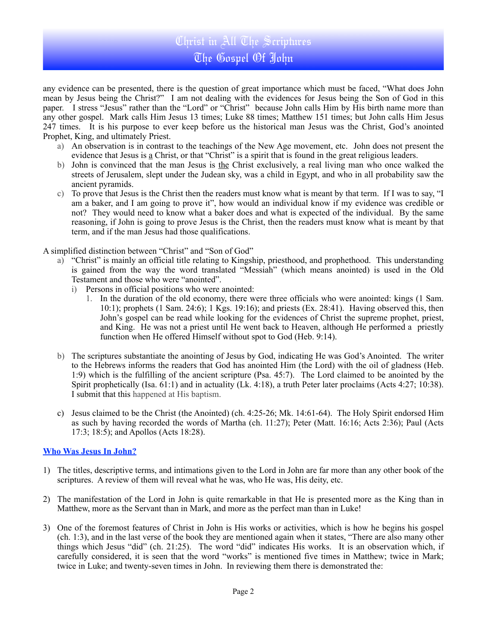# Christ in All The Scriptures The Gospel Of John

any evidence can be presented, there is the question of great importance which must be faced, "What does John mean by Jesus being the Christ?" I am not dealing with the evidences for Jesus being the Son of God in this paper. I stress "Jesus" rather than the "Lord" or "Christ" because John calls Him by His birth name more than any other gospel. Mark calls Him Jesus 13 times; Luke 88 times; Matthew 151 times; but John calls Him Jesus 247 times. It is his purpose to ever keep before us the historical man Jesus was the Christ, God's anointed Prophet, King, and ultimately Priest.

- a) An observation is in contrast to the teachings of the New Age movement, etc. John does not present the evidence that Jesus is a Christ, or that "Christ" is a spirit that is found in the great religious leaders.
- b) John is convinced that the man Jesus is the Christ exclusively, a real living man who once walked the streets of Jerusalem, slept under the Judean sky, was a child in Egypt, and who in all probability saw the ancient pyramids.
- c) To prove that Jesus is the Christ then the readers must know what is meant by that term. If I was to say, "I am a baker, and I am going to prove it", how would an individual know if my evidence was credible or not? They would need to know what a baker does and what is expected of the individual. By the same reasoning, if John is going to prove Jesus is the Christ, then the readers must know what is meant by that term, and if the man Jesus had those qualifications.

A simplified distinction between "Christ" and "Son of God"

- a) "Christ" is mainly an official title relating to Kingship, priesthood, and prophethood. This understanding is gained from the way the word translated "Messiah" (which means anointed) is used in the Old Testament and those who were "anointed".
	- i) Persons in official positions who were anointed:
		- 1. In the duration of the old economy, there were three officials who were anointed: kings (1 Sam.  $10:1$ ; prophets (1 Sam. 24:6); 1 Kgs. 19:16); and priests (Ex. 28:41). Having observed this, then John's gospel can be read while looking for the evidences of Christ the supreme prophet, priest, and King. He was not a priest until He went back to Heaven, although He performed a priestly function when He offered Himself without spot to God (Heb. 9:14).
- b) The scriptures substantiate the anointing of Jesus by God, indicating He was God's Anointed. The writer to the Hebrews informs the readers that God has anointed Him (the Lord) with the oil of gladness (Heb. 1:9) which is the fulfilling of the ancient scripture (Psa. 45:7). The Lord claimed to be anointed by the Spirit prophetically (Isa. 61:1) and in actuality (Lk. 4:18), a truth Peter later proclaims (Acts 4:27; 10:38). I submit that this happened at His baptism.
- c) Jesus claimed to be the Christ (the Anointed) (ch. 4:25-26; Mk. 14:61-64). The Holy Spirit endorsed Him as such by having recorded the words of Martha (ch. 11:27); Peter (Matt. 16:16; Acts 2:36); Paul (Acts 17:3; 18:5); and Apollos (Acts 18:28).

### **Who Was Jesus In John?**

- 1) The titles, descriptive terms, and intimations given to the Lord in John are far more than any other book of the scriptures. A review of them will reveal what he was, who He was, His deity, etc.
- 2) The manifestation of the Lord in John is quite remarkable in that He is presented more as the King than in Matthew, more as the Servant than in Mark, and more as the perfect man than in Luke!
- 3) One of the foremost features of Christ in John is His works or activities, which is how he begins his gospel (ch. 1:3), and in the last verse of the book they are mentioned again when it states, "There are also many other things which Jesus "did" (ch. 21:25). The word "did" indicates His works. It is an observation which, if carefully considered, it is seen that the word "works" is mentioned five times in Matthew; twice in Mark; twice in Luke; and twenty-seven times in John. In reviewing them there is demonstrated the: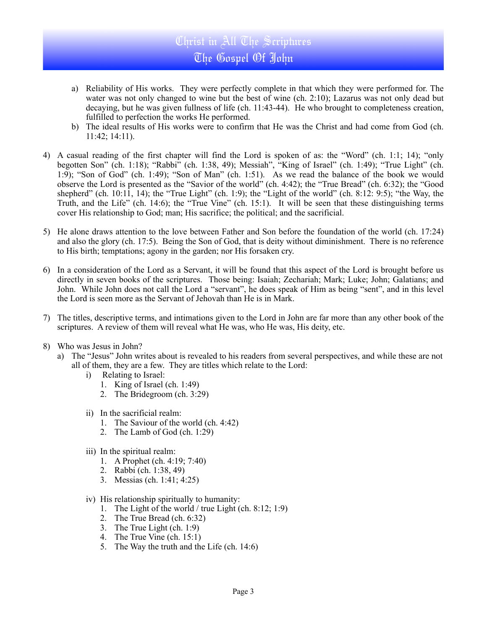# Christ in All The Scriptures The Gospel Of John

- a) Reliability of His works. They were perfectly complete in that which they were performed for. The water was not only changed to wine but the best of wine (ch. 2:10); Lazarus was not only dead but decaying, but he was given fullness of life (ch. 11:43-44). He who brought to completeness creation, fulfilled to perfection the works He performed.
- b) The ideal results of His works were to confirm that He was the Christ and had come from God (ch. 11:42; 14:11).
- 4) A casual reading of the first chapter will find the Lord is spoken of as: the "Word" (ch. 1:1; 14); "only begotten Son" (ch. 1:18); "Rabbi" (ch. 1:38, 49); Messiah", "King of Israel" (ch. 1:49); "True Light" (ch. 1:9); "Son of God" (ch. 1:49); "Son of Man" (ch. 1:51). As we read the balance of the book we would observe the Lord is presented as the "Savior of the world" (ch. 4:42); the "True Bread" (ch. 6:32); the "Good shepherd" (ch. 10:11, 14); the "True Light" (ch. 1:9); the "Light of the world" (ch. 8:12: 9:5); "the Way, the Truth, and the Life" (ch. 14:6); the "True Vine" (ch. 15:1). It will be seen that these distinguishing terms cover His relationship to God; man; His sacrifice; the political; and the sacrificial.
- 5) He alone draws attention to the love between Father and Son before the foundation of the world (ch. 17:24) and also the glory (ch. 17:5). Being the Son of God, that is deity without diminishment. There is no reference to His birth; temptations; agony in the garden; nor His forsaken cry.
- 6) In a consideration of the Lord as a Servant, it will be found that this aspect of the Lord is brought before us directly in seven books of the scriptures. Those being: Isaiah; Zechariah; Mark; Luke; John; Galatians; and John. While John does not call the Lord a "servant", he does speak of Him as being "sent", and in this level the Lord is seen more as the Servant of Jehovah than He is in Mark.
- 7) The titles, descriptive terms, and intimations given to the Lord in John are far more than any other book of the scriptures. A review of them will reveal what He was, who He was, His deity, etc.
- 8) Who was Jesus in John?
	- a) The "Jesus" John writes about is revealed to his readers from several perspectives, and while these are not all of them, they are a few. They are titles which relate to the Lord:
		- i) Relating to Israel:
			- 1. King of Israel (ch. 1:49)
			- 2. The Bridegroom (ch. 3:29)
		- ii) In the sacrificial realm:
			- 1. The Saviour of the world (ch. 4:42)
			- 2. The Lamb of God (ch. 1:29)
		- iii) In the spiritual realm:
			- 1. A Prophet (ch. 4:19; 7:40)
			- 2. Rabbi (ch. 1:38, 49)
			- 3. Messias (ch. 1:41; 4:25)
		- iv) His relationship spiritually to humanity:
			- 1. The Light of the world / true Light (ch. 8:12; 1:9)
			- 2. The True Bread (ch. 6:32)
			- 3. The True Light (ch. 1:9)
			- 4. The True Vine (ch.  $15:1$ )
			- 5. The Way the truth and the Life (ch. [14:6\)](http://ebible.com/query?utf=8%E2%9C%93&query=John%2014%3A6&translation=ESV&redirect_iframe=http://www.allaboutjesuschrist.org/bible.htm)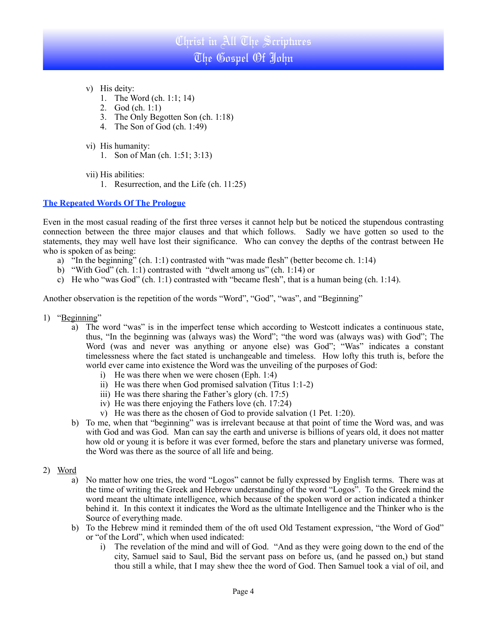# Christ in All The Scriptures The Gospel Of John

- v) His deity:
	- 1. The Word (ch. 1:1; 14)
	- 2. God (ch. 1:1)
	- 3. The Only Begotten Son (ch. 1:18)
	- 4. The Son of God (ch. 1:49)
- vi) His humanity:
	- 1. Son of Man (ch. 1:51; 3:13)
- vii) His abilities:
	- 1. Resurrection, and the Life (ch. 11:25)

### **The Repeated Words Of The Prologue**

Even in the most casual reading of the first three verses it cannot help but be noticed the stupendous contrasting connection between the three major clauses and that which follows. Sadly we have gotten so used to the statements, they may well have lost their significance. Who can convey the depths of the contrast between He who is spoken of as being:

- a) "In the beginning" (ch. 1:1) contrasted with "was made flesh" (better become ch. 1:14)
- b) "With God" (ch. 1:1) contrasted with "dwelt among us" (ch. 1:14) or
- c) He who "was God" (ch. 1:1) contrasted with "became flesh", that is a human being (ch. 1:14).

Another observation is the repetition of the words "Word", "God", "was", and "Beginning"

- 1) "Beginning"
	- a) The word "was" is in the imperfect tense which according to Westcott indicates a continuous state, thus, "In the beginning was (always was) the Word"; "the word was (always was) with God"; The Word (was and never was anything or anyone else) was God"; "Was" indicates a constant timelessness where the fact stated is unchangeable and timeless. How lofty this truth is, before the world ever came into existence the Word was the unveiling of the purposes of God:
		- i) He was there when we were chosen (Eph. 1:4)
		- ii) He was there when God promised salvation (Titus 1:1-2)
		- iii) He was there sharing the Father's glory (ch. 17:5)
		- iv) He was there enjoying the Fathers love (ch. 17:24)
		- v) He was there as the chosen of God to provide salvation (1 Pet. 1:20).
	- b) To me, when that "beginning" was is irrelevant because at that point of time the Word was, and was with God and was God. Man can say the earth and universe is billions of years old, it does not matter how old or young it is before it was ever formed, before the stars and planetary universe was formed, the Word was there as the source of all life and being.
- 2) Word
	- a) No matter how one tries, the word "Logos" cannot be fully expressed by English terms. There was at the time of writing the Greek and Hebrew understanding of the word "Logos". To the Greek mind the word meant the ultimate intelligence, which because of the spoken word or action indicated a thinker behind it. In this context it indicates the Word as the ultimate Intelligence and the Thinker who is the Source of everything made.
	- b) To the Hebrew mind it reminded them of the oft used Old Testament expression, "the Word of God" or "of the Lord", which when used indicated:
		- i) The revelation of the mind and will of God. "And as they were going down to the end of the city, Samuel said to Saul, Bid the servant pass on before us, (and he passed on,) but stand thou still a while, that I may shew thee the word of God. Then Samuel took a vial of oil, and